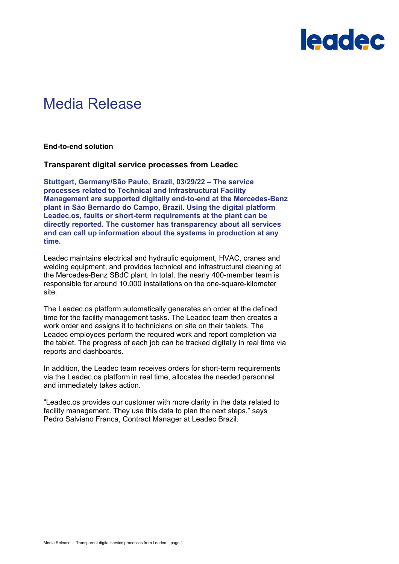

# Media Release

**End-to-end solution**

### **Transparent digital service processes from Leadec**

**Stuttgart, Germany/São Paulo, Brazil, 03/29/22 – The service processes related to Technical and Infrastructural Facility Management are supported digitally end-to-end at the Mercedes-Benz plant in São Bernardo do Campo, Brazil. Using the digital platform Leadec.os, faults or short-term requirements at the plant can be directly reported. The customer has transparency about all services and can call up information about the systems in production at any time.**

Leadec maintains electrical and hydraulic equipment, HVAC, cranes and welding equipment, and provides technical and infrastructural cleaning at the Mercedes-Benz SBdC plant. In total, the nearly 400-member team is responsible for around 10.000 installations on the one-square-kilometer site.

The Leadec.os platform automatically generates an order at the defined time for the facility management tasks. The Leadec team then creates a work order and assigns it to technicians on site on their tablets. The Leadec employees perform the required work and report completion via the tablet. The progress of each job can be tracked digitally in real time via reports and dashboards.

In addition, the Leadec team receives orders for short-term requirements via the Leadec.os platform in real time, allocates the needed personnel and immediately takes action.

"Leadec.os provides our customer with more clarity in the data related to facility management. They use this data to plan the next steps," says Pedro Salviano Franca, Contract Manager at Leadec Brazil.